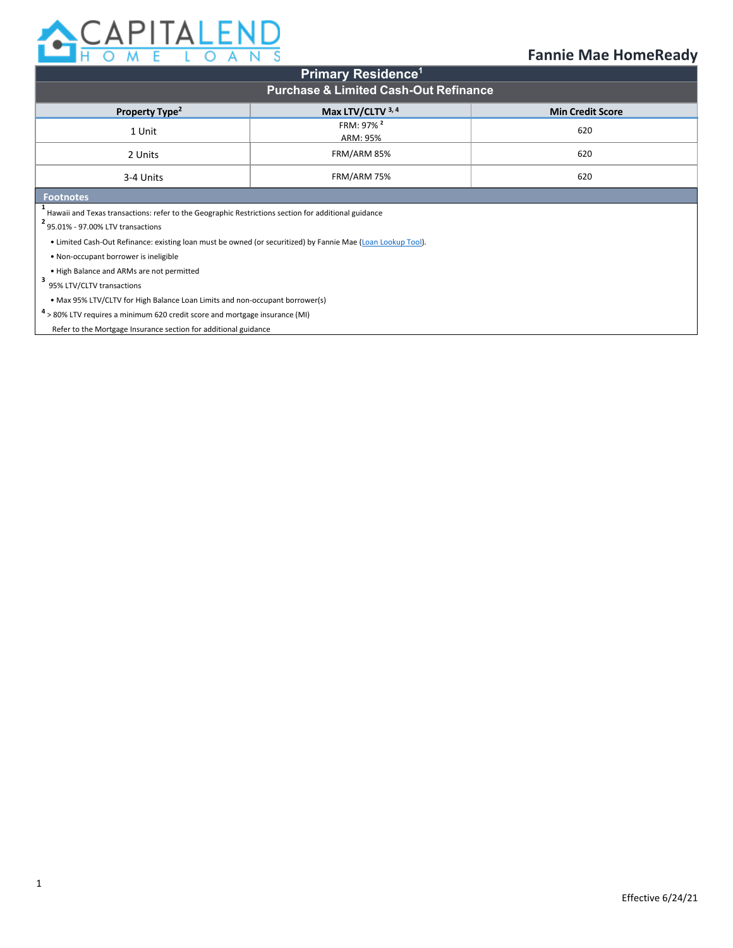

| <b>Primary Residence<sup>1</sup></b>                                                                                                    |                                   |     |  |  |  |  |
|-----------------------------------------------------------------------------------------------------------------------------------------|-----------------------------------|-----|--|--|--|--|
| <b>Purchase &amp; Limited Cash-Out Refinance</b>                                                                                        |                                   |     |  |  |  |  |
| Max LTV/CLTV 3, 4<br>Property Type <sup>2</sup><br><b>Min Credit Score</b>                                                              |                                   |     |  |  |  |  |
| 1 Unit                                                                                                                                  | FRM: 97% <sup>2</sup><br>ARM: 95% | 620 |  |  |  |  |
| 2 Units                                                                                                                                 | FRM/ARM 85%                       | 620 |  |  |  |  |
| FRM/ARM 75%<br>3-4 Units                                                                                                                |                                   | 620 |  |  |  |  |
| <b>Footnotes</b>                                                                                                                        |                                   |     |  |  |  |  |
| Hawaii and Texas transactions: refer to the Geographic Restrictions section for additional guidance<br>95.01% - 97.00% LTV transactions |                                   |     |  |  |  |  |
| • Limited Cash-Out Refinance: existing loan must be owned (or securitized) by Fannie Mae (Loan Lookup Tool).                            |                                   |     |  |  |  |  |
| . Non-occupant borrower is ineligible                                                                                                   |                                   |     |  |  |  |  |
| . High Balance and ARMs are not permitted                                                                                               |                                   |     |  |  |  |  |
| 95% LTV/CLTV transactions                                                                                                               |                                   |     |  |  |  |  |
| • Max 95% LTV/CLTV for High Balance Loan Limits and non-occupant borrower(s)                                                            |                                   |     |  |  |  |  |
| $4$ > 80% LTV requires a minimum 620 credit score and mortgage insurance (MI)                                                           |                                   |     |  |  |  |  |

Refer to the Mortgage Insurance section for additional guidance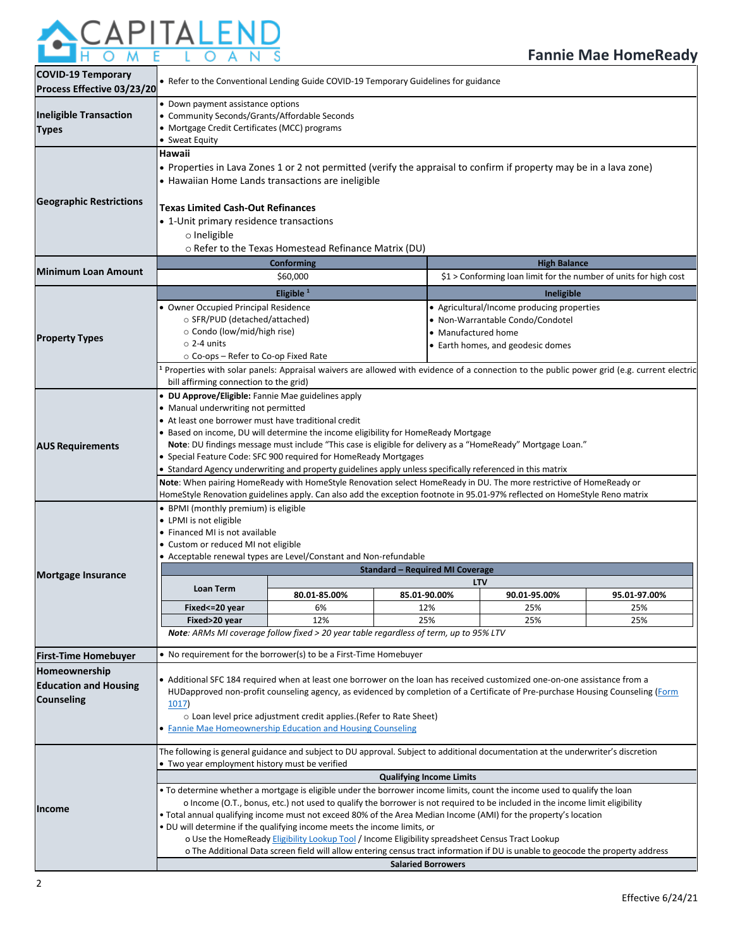

| Process Effective 03/23/20                                         | • Refer to the Conventional Lending Guide COVID-19 Temporary Guidelines for guidance                                                                                                                                                                                                                                                                                                                                                                                                                                                                                                                                                                                                                                          |                                                                                              |  |              |                                                                                                             |              |
|--------------------------------------------------------------------|-------------------------------------------------------------------------------------------------------------------------------------------------------------------------------------------------------------------------------------------------------------------------------------------------------------------------------------------------------------------------------------------------------------------------------------------------------------------------------------------------------------------------------------------------------------------------------------------------------------------------------------------------------------------------------------------------------------------------------|----------------------------------------------------------------------------------------------|--|--------------|-------------------------------------------------------------------------------------------------------------|--------------|
| <b>Ineligible Transaction</b><br><b>Types</b>                      | • Down payment assistance options<br>• Community Seconds/Grants/Affordable Seconds<br>• Mortgage Credit Certificates (MCC) programs<br>• Sweat Equity                                                                                                                                                                                                                                                                                                                                                                                                                                                                                                                                                                         |                                                                                              |  |              |                                                                                                             |              |
| <b>Geographic Restrictions</b>                                     | Hawaii<br>• Properties in Lava Zones 1 or 2 not permitted (verify the appraisal to confirm if property may be in a lava zone)<br>• Hawaiian Home Lands transactions are ineligible<br>Texas Limited Cash-Out Refinances<br>• 1-Unit primary residence transactions<br>o Ineligible                                                                                                                                                                                                                                                                                                                                                                                                                                            | o Refer to the Texas Homestead Refinance Matrix (DU)                                         |  |              |                                                                                                             |              |
| <b>Minimum Loan Amount</b>                                         |                                                                                                                                                                                                                                                                                                                                                                                                                                                                                                                                                                                                                                                                                                                               | Conforming<br>\$60,000                                                                       |  |              | <b>High Balance</b><br>$$1 >$ Conforming loan limit for the number of units for high cost                   |              |
|                                                                    |                                                                                                                                                                                                                                                                                                                                                                                                                                                                                                                                                                                                                                                                                                                               |                                                                                              |  |              |                                                                                                             |              |
| <b>Property Types</b>                                              | Eligible $1$<br>Ineligible<br>• Owner Occupied Principal Residence<br>• Agricultural/Income producing properties<br>○ SFR/PUD (detached/attached)<br>• Non-Warrantable Condo/Condotel<br>○ Condo (low/mid/high rise)<br>• Manufactured home<br>$\circ$ 2-4 units<br>• Earth homes, and geodesic domes<br>○ Co-ops – Refer to Co-op Fixed Rate<br>Properties with solar panels: Appraisal waivers are allowed with evidence of a connection to the public power grid (e.g. current electric                                                                                                                                                                                                                                    |                                                                                              |  |              |                                                                                                             |              |
| <b>AUS Requirements</b>                                            | • DU Approve/Eligible: Fannie Mae guidelines apply<br>• Manual underwriting not permitted<br>• At least one borrower must have traditional credit<br>• Based on income, DU will determine the income eligibility for HomeReady Mortgage<br>• Special Feature Code: SFC 900 required for HomeReady Mortgages<br>• Standard Agency underwriting and property guidelines apply unless specifically referenced in this matrix<br>Note: When pairing HomeReady with HomeStyle Renovation select HomeReady in DU. The more restrictive of HomeReady or<br>HomeStyle Renovation guidelines apply. Can also add the exception footnote in 95.01-97% reflected on HomeStyle Reno matrix                                                |                                                                                              |  |              | Note: DU findings message must include "This case is eligible for delivery as a "HomeReady" Mortgage Loan." |              |
|                                                                    | • BPMI (monthly premium) is eligible<br>• LPMI is not eligible<br>• Financed MI is not available<br>• Custom or reduced MI not eligible<br>• Acceptable renewal types are Level/Constant and Non-refundable                                                                                                                                                                                                                                                                                                                                                                                                                                                                                                                   |                                                                                              |  |              |                                                                                                             |              |
| Mortgage Insurance                                                 | <b>Standard - Required MI Coverage</b><br><b>LTV</b>                                                                                                                                                                                                                                                                                                                                                                                                                                                                                                                                                                                                                                                                          |                                                                                              |  |              |                                                                                                             |              |
|                                                                    | <b>Loan Term</b>                                                                                                                                                                                                                                                                                                                                                                                                                                                                                                                                                                                                                                                                                                              | 80.01-85.00%                                                                                 |  | 85.01-90.00% | 90.01-95.00%                                                                                                | 95.01-97.00% |
|                                                                    | Fixed <= 20 year                                                                                                                                                                                                                                                                                                                                                                                                                                                                                                                                                                                                                                                                                                              | 6%                                                                                           |  | 12%          | 25%                                                                                                         | 25%          |
|                                                                    | Fixed>20 year                                                                                                                                                                                                                                                                                                                                                                                                                                                                                                                                                                                                                                                                                                                 | 12%<br>Note: ARMs MI coverage follow fixed > 20 year table regardless of term, up to 95% LTV |  | 25%          | 25%                                                                                                         | 25%          |
| <b>First-Time Homebuyer</b>                                        | • No requirement for the borrower(s) to be a First-Time Homebuyer                                                                                                                                                                                                                                                                                                                                                                                                                                                                                                                                                                                                                                                             |                                                                                              |  |              |                                                                                                             |              |
| Homeownership<br><b>Education and Housing</b><br><b>Counseling</b> | • Additional SFC 184 required when at least one borrower on the loan has received customized one-on-one assistance from a<br>HUDapproved non-profit counseling agency, as evidenced by completion of a Certificate of Pre-purchase Housing Counseling (Form<br>1017)<br>o Loan level price adjustment credit applies. (Refer to Rate Sheet)<br>• Fannie Mae Homeownership Education and Housing Counseling                                                                                                                                                                                                                                                                                                                    |                                                                                              |  |              |                                                                                                             |              |
|                                                                    | The following is general guidance and subject to DU approval. Subject to additional documentation at the underwriter's discretion<br>• Two year employment history must be verified<br><b>Qualifying Income Limits</b>                                                                                                                                                                                                                                                                                                                                                                                                                                                                                                        |                                                                                              |  |              |                                                                                                             |              |
| <b>Income</b>                                                      | . To determine whether a mortgage is eligible under the borrower income limits, count the income used to qualify the loan<br>o Income (O.T., bonus, etc.) not used to qualify the borrower is not required to be included in the income limit eligibility<br>. Total annual qualifying income must not exceed 80% of the Area Median Income (AMI) for the property's location<br>. DU will determine if the qualifying income meets the income limits, or<br>o Use the HomeReady Eligibility Lookup Tool / Income Eligibility spreadsheet Census Tract Lookup<br>o The Additional Data screen field will allow entering census tract information if DU is unable to geocode the property address<br><b>Salaried Borrowers</b> |                                                                                              |  |              |                                                                                                             |              |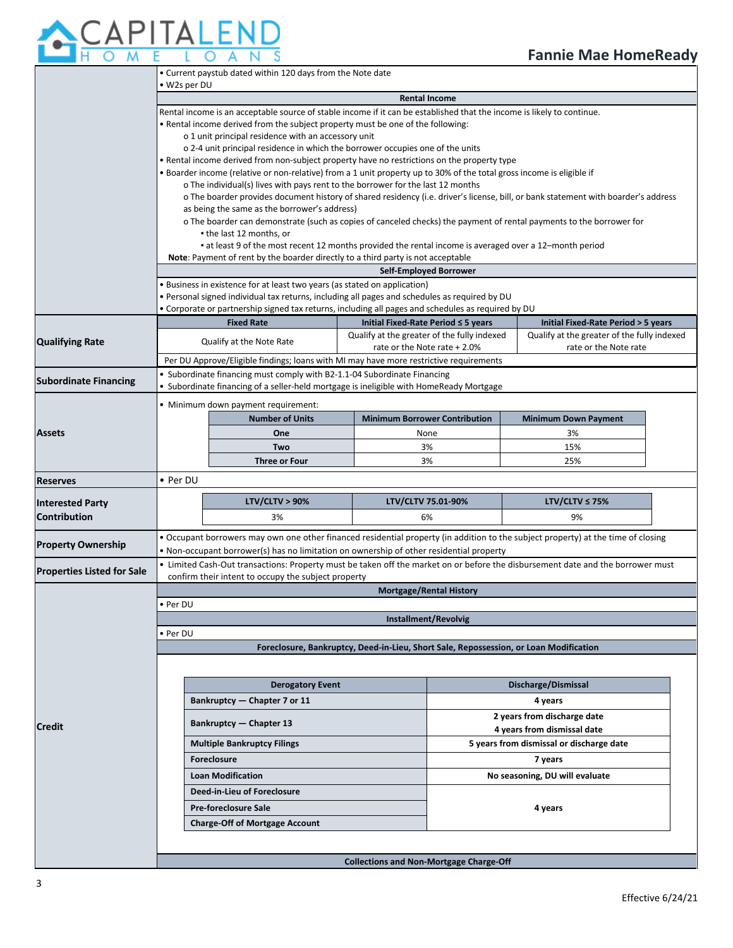

|                                   | • Current paystub dated within 120 days from the Note date                                                                                       |                                                                                                                       |                                                |                                      |                                                                                                                                    |  |
|-----------------------------------|--------------------------------------------------------------------------------------------------------------------------------------------------|-----------------------------------------------------------------------------------------------------------------------|------------------------------------------------|--------------------------------------|------------------------------------------------------------------------------------------------------------------------------------|--|
|                                   | • W2s per DU<br><b>Rental Income</b>                                                                                                             |                                                                                                                       |                                                |                                      |                                                                                                                                    |  |
|                                   | Rental income is an acceptable source of stable income if it can be established that the income is likely to continue.                           |                                                                                                                       |                                                |                                      |                                                                                                                                    |  |
|                                   |                                                                                                                                                  | . Rental income derived from the subject property must be one of the following:                                       |                                                |                                      |                                                                                                                                    |  |
|                                   |                                                                                                                                                  | o 1 unit principal residence with an accessory unit                                                                   |                                                |                                      |                                                                                                                                    |  |
|                                   | o 2-4 unit principal residence in which the borrower occupies one of the units                                                                   |                                                                                                                       |                                                |                                      |                                                                                                                                    |  |
|                                   | . Rental income derived from non-subject property have no restrictions on the property type                                                      |                                                                                                                       |                                                |                                      |                                                                                                                                    |  |
|                                   |                                                                                                                                                  | . Boarder income (relative or non-relative) from a 1 unit property up to 30% of the total gross income is eligible if |                                                |                                      |                                                                                                                                    |  |
|                                   |                                                                                                                                                  | o The individual(s) lives with pays rent to the borrower for the last 12 months                                       |                                                |                                      | o The boarder provides document history of shared residency (i.e. driver's license, bill, or bank statement with boarder's address |  |
|                                   |                                                                                                                                                  | as being the same as the borrower's address)                                                                          |                                                |                                      |                                                                                                                                    |  |
|                                   |                                                                                                                                                  |                                                                                                                       |                                                |                                      |                                                                                                                                    |  |
|                                   | o The boarder can demonstrate (such as copies of canceled checks) the payment of rental payments to the borrower for<br>• the last 12 months, or |                                                                                                                       |                                                |                                      |                                                                                                                                    |  |
|                                   |                                                                                                                                                  | at least 9 of the most recent 12 months provided the rental income is averaged over a 12-month period                 |                                                |                                      |                                                                                                                                    |  |
|                                   |                                                                                                                                                  | Note: Payment of rent by the boarder directly to a third party is not acceptable                                      |                                                |                                      |                                                                                                                                    |  |
|                                   |                                                                                                                                                  |                                                                                                                       |                                                | <b>Self-Employed Borrower</b>        |                                                                                                                                    |  |
|                                   |                                                                                                                                                  | • Business in existence for at least two years (as stated on application)                                             |                                                |                                      |                                                                                                                                    |  |
|                                   |                                                                                                                                                  | . Personal signed individual tax returns, including all pages and schedules as required by DU                         |                                                |                                      |                                                                                                                                    |  |
|                                   |                                                                                                                                                  | . Corporate or partnership signed tax returns, including all pages and schedules as required by DU                    |                                                |                                      |                                                                                                                                    |  |
|                                   |                                                                                                                                                  | <b>Fixed Rate</b>                                                                                                     |                                                | Initial Fixed-Rate Period ≤ 5 years  | Initial Fixed-Rate Period > 5 years                                                                                                |  |
| <b>Qualifying Rate</b>            |                                                                                                                                                  | Qualify at the Note Rate                                                                                              | Qualify at the greater of the fully indexed    | rate or the Note rate + 2.0%         | Qualify at the greater of the fully indexed<br>rate or the Note rate                                                               |  |
|                                   |                                                                                                                                                  | Per DU Approve/Eligible findings; loans with MI may have more restrictive requirements                                |                                                |                                      |                                                                                                                                    |  |
|                                   |                                                                                                                                                  | • Subordinate financing must comply with B2-1.1-04 Subordinate Financing                                              |                                                |                                      |                                                                                                                                    |  |
| <b>Subordinate Financing</b>      |                                                                                                                                                  | • Subordinate financing of a seller-held mortgage is ineligible with HomeReady Mortgage                               |                                                |                                      |                                                                                                                                    |  |
|                                   |                                                                                                                                                  | · Minimum down payment requirement:                                                                                   |                                                |                                      |                                                                                                                                    |  |
|                                   |                                                                                                                                                  | <b>Number of Units</b>                                                                                                |                                                | <b>Minimum Borrower Contribution</b> | <b>Minimum Down Payment</b>                                                                                                        |  |
|                                   |                                                                                                                                                  |                                                                                                                       |                                                |                                      |                                                                                                                                    |  |
| <b>Assets</b>                     |                                                                                                                                                  | One                                                                                                                   |                                                | None                                 | 3%                                                                                                                                 |  |
|                                   |                                                                                                                                                  | Two                                                                                                                   |                                                | 3%                                   | 15%                                                                                                                                |  |
|                                   | <b>Three or Four</b>                                                                                                                             |                                                                                                                       | 3%                                             |                                      | 25%                                                                                                                                |  |
|                                   | • Per DU                                                                                                                                         |                                                                                                                       |                                                |                                      |                                                                                                                                    |  |
| <b>Reserves</b>                   |                                                                                                                                                  |                                                                                                                       |                                                |                                      |                                                                                                                                    |  |
| <b>Interested Party</b>           |                                                                                                                                                  | LTV/CLTV > 90%                                                                                                        |                                                | LTV/CLTV 75.01-90%                   | LTV/CLTV $\leq$ 75%                                                                                                                |  |
| <b>Contribution</b>               |                                                                                                                                                  | 3%                                                                                                                    |                                                | 6%                                   | 9%                                                                                                                                 |  |
|                                   |                                                                                                                                                  |                                                                                                                       |                                                |                                      |                                                                                                                                    |  |
| <b>Property Ownership</b>         |                                                                                                                                                  | . Non-occupant borrower(s) has no limitation on ownership of other residential property                               |                                                |                                      | • Occupant borrowers may own one other financed residential property (in addition to the subject property) at the time of closing  |  |
|                                   |                                                                                                                                                  |                                                                                                                       |                                                |                                      | • Limited Cash-Out transactions: Property must be taken off the market on or before the disbursement date and the borrower must    |  |
| <b>Properties Listed for Sale</b> |                                                                                                                                                  | confirm their intent to occupy the subject property                                                                   |                                                |                                      |                                                                                                                                    |  |
|                                   |                                                                                                                                                  |                                                                                                                       |                                                | <b>Mortgage/Rental History</b>       |                                                                                                                                    |  |
|                                   | Per DU                                                                                                                                           |                                                                                                                       |                                                |                                      |                                                                                                                                    |  |
|                                   |                                                                                                                                                  |                                                                                                                       |                                                | <b>Installment/Revolvig</b>          |                                                                                                                                    |  |
|                                   | • Per DU                                                                                                                                         |                                                                                                                       |                                                |                                      |                                                                                                                                    |  |
|                                   |                                                                                                                                                  |                                                                                                                       |                                                |                                      | Foreclosure, Bankruptcy, Deed-in-Lieu, Short Sale, Repossession, or Loan Modification                                              |  |
|                                   |                                                                                                                                                  |                                                                                                                       |                                                |                                      |                                                                                                                                    |  |
|                                   |                                                                                                                                                  |                                                                                                                       |                                                |                                      |                                                                                                                                    |  |
|                                   |                                                                                                                                                  | <b>Derogatory Event</b>                                                                                               |                                                |                                      | Discharge/Dismissal                                                                                                                |  |
|                                   |                                                                                                                                                  | Bankruptcy - Chapter 7 or 11                                                                                          |                                                |                                      | 4 years                                                                                                                            |  |
|                                   |                                                                                                                                                  | <b>Bankruptcy - Chapter 13</b>                                                                                        |                                                |                                      | 2 years from discharge date                                                                                                        |  |
| Credit                            |                                                                                                                                                  |                                                                                                                       |                                                |                                      | 4 years from dismissal date                                                                                                        |  |
|                                   |                                                                                                                                                  | <b>Multiple Bankruptcy Filings</b>                                                                                    |                                                |                                      | 5 years from dismissal or discharge date                                                                                           |  |
|                                   |                                                                                                                                                  | Foreclosure                                                                                                           |                                                |                                      | 7 years                                                                                                                            |  |
|                                   |                                                                                                                                                  | <b>Loan Modification</b>                                                                                              |                                                |                                      | No seasoning, DU will evaluate                                                                                                     |  |
|                                   |                                                                                                                                                  | Deed-in-Lieu of Foreclosure                                                                                           |                                                |                                      |                                                                                                                                    |  |
|                                   |                                                                                                                                                  | <b>Pre-foreclosure Sale</b>                                                                                           |                                                |                                      | 4 years                                                                                                                            |  |
|                                   |                                                                                                                                                  | <b>Charge-Off of Mortgage Account</b>                                                                                 |                                                |                                      |                                                                                                                                    |  |
|                                   |                                                                                                                                                  |                                                                                                                       |                                                |                                      |                                                                                                                                    |  |
|                                   |                                                                                                                                                  |                                                                                                                       | <b>Collections and Non-Mortgage Charge-Off</b> |                                      |                                                                                                                                    |  |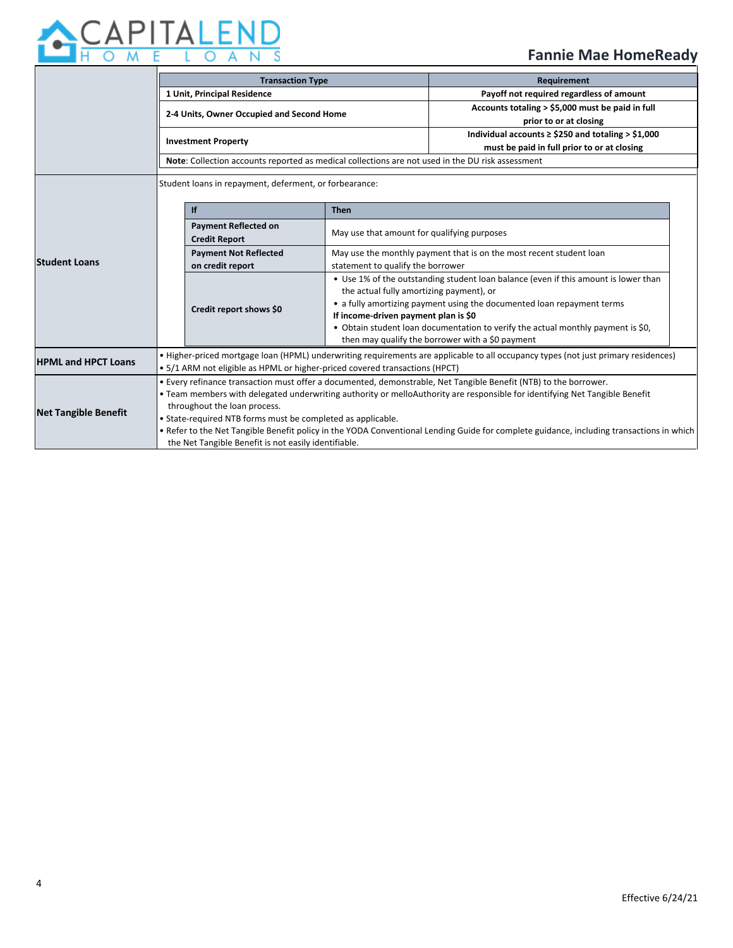

|                                                                                   | <b>Transaction Type</b>                                                                                                                  |                                                                              |                                                                                     | Requirement                                                                      |  |  |
|-----------------------------------------------------------------------------------|------------------------------------------------------------------------------------------------------------------------------------------|------------------------------------------------------------------------------|-------------------------------------------------------------------------------------|----------------------------------------------------------------------------------|--|--|
|                                                                                   | 1 Unit, Principal Residence                                                                                                              |                                                                              |                                                                                     | Payoff not required regardless of amount                                         |  |  |
|                                                                                   | 2-4 Units, Owner Occupied and Second Home<br><b>Investment Property</b>                                                                  |                                                                              |                                                                                     | Accounts totaling > \$5,000 must be paid in full                                 |  |  |
|                                                                                   |                                                                                                                                          |                                                                              |                                                                                     | prior to or at closing                                                           |  |  |
|                                                                                   |                                                                                                                                          |                                                                              |                                                                                     | Individual accounts $\ge$ \$250 and totaling > \$1,000                           |  |  |
|                                                                                   |                                                                                                                                          |                                                                              |                                                                                     | must be paid in full prior to or at closing                                      |  |  |
|                                                                                   | Note: Collection accounts reported as medical collections are not used in the DU risk assessment                                         |                                                                              |                                                                                     |                                                                                  |  |  |
|                                                                                   | Student loans in repayment, deferment, or forbearance:                                                                                   |                                                                              |                                                                                     |                                                                                  |  |  |
|                                                                                   |                                                                                                                                          | If                                                                           | <b>Then</b><br>May use that amount for qualifying purposes                          |                                                                                  |  |  |
|                                                                                   |                                                                                                                                          | <b>Payment Reflected on</b>                                                  |                                                                                     |                                                                                  |  |  |
|                                                                                   |                                                                                                                                          | <b>Payment Not Reflected</b>                                                 | May use the monthly payment that is on the most recent student loan                 |                                                                                  |  |  |
|                                                                                   |                                                                                                                                          | on credit report                                                             | statement to qualify the borrower                                                   |                                                                                  |  |  |
|                                                                                   |                                                                                                                                          |                                                                              | • Use 1% of the outstanding student loan balance (even if this amount is lower than |                                                                                  |  |  |
|                                                                                   |                                                                                                                                          |                                                                              | the actual fully amortizing payment), or                                            |                                                                                  |  |  |
|                                                                                   |                                                                                                                                          | Credit report shows \$0                                                      | • a fully amortizing payment using the documented loan repayment terms              |                                                                                  |  |  |
|                                                                                   |                                                                                                                                          |                                                                              |                                                                                     |                                                                                  |  |  |
|                                                                                   |                                                                                                                                          |                                                                              | then may qualify the borrower with a \$0 payment                                    |                                                                                  |  |  |
|                                                                                   | • Higher-priced mortgage loan (HPML) underwriting requirements are applicable to all occupancy types (not just primary residences)       |                                                                              |                                                                                     |                                                                                  |  |  |
|                                                                                   | • 5/1 ARM not eligible as HPML or higher-priced covered transactions (HPCT)                                                              |                                                                              |                                                                                     |                                                                                  |  |  |
|                                                                                   | . Every refinance transaction must offer a documented, demonstrable, Net Tangible Benefit (NTB) to the borrower.                         |                                                                              |                                                                                     |                                                                                  |  |  |
|                                                                                   | . Team members with delegated underwriting authority or melloAuthority are responsible for identifying Net Tangible Benefit              |                                                                              |                                                                                     |                                                                                  |  |  |
|                                                                                   | throughout the loan process.                                                                                                             |                                                                              |                                                                                     |                                                                                  |  |  |
|                                                                                   | • State-required NTB forms must be completed as applicable.                                                                              |                                                                              |                                                                                     |                                                                                  |  |  |
|                                                                                   | . Refer to the Net Tangible Benefit policy in the YODA Conventional Lending Guide for complete guidance, including transactions in which |                                                                              |                                                                                     |                                                                                  |  |  |
| <b>Student Loans</b><br><b>HPML and HPCT Loans</b><br><b>Net Tangible Benefit</b> |                                                                                                                                          | <b>Credit Report</b><br>the Net Tangible Benefit is not easily identifiable. | If income-driven payment plan is \$0                                                | . Obtain student loan documentation to verify the actual monthly payment is \$0, |  |  |